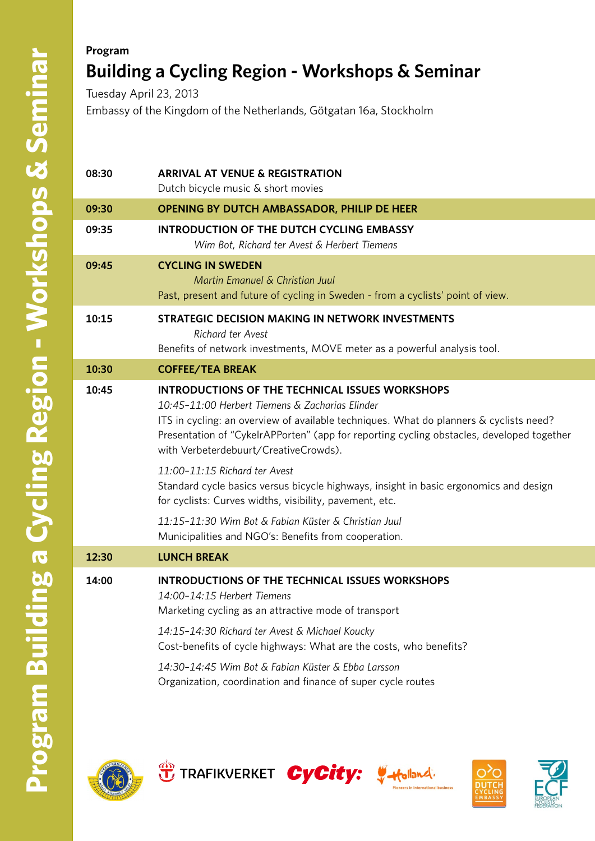## **Program Building a Cycling Region - Workshops & Seminar** Tuesday April 23, 2013

Embassy of the Kingdom of the Netherlands, Götgatan 16a, Stockholm

| 08:30 | <b>ARRIVAL AT VENUE &amp; REGISTRATION</b><br>Dutch bicycle music & short movies                                                                                                                                                                                                                                                                                                                                                                                                                                                                                                                                                               |
|-------|------------------------------------------------------------------------------------------------------------------------------------------------------------------------------------------------------------------------------------------------------------------------------------------------------------------------------------------------------------------------------------------------------------------------------------------------------------------------------------------------------------------------------------------------------------------------------------------------------------------------------------------------|
| 09:30 | OPENING BY DUTCH AMBASSADOR, PHILIP DE HEER                                                                                                                                                                                                                                                                                                                                                                                                                                                                                                                                                                                                    |
| 09:35 | <b>INTRODUCTION OF THE DUTCH CYCLING EMBASSY</b><br>Wim Bot, Richard ter Avest & Herbert Tiemens                                                                                                                                                                                                                                                                                                                                                                                                                                                                                                                                               |
| 09:45 | <b>CYCLING IN SWEDEN</b><br>Martin Emanuel & Christian Juul<br>Past, present and future of cycling in Sweden - from a cyclists' point of view.                                                                                                                                                                                                                                                                                                                                                                                                                                                                                                 |
| 10:15 | STRATEGIC DECISION MAKING IN NETWORK INVESTMENTS<br><b>Richard ter Avest</b><br>Benefits of network investments, MOVE meter as a powerful analysis tool.                                                                                                                                                                                                                                                                                                                                                                                                                                                                                       |
| 10:30 | <b>COFFEE/TEA BREAK</b>                                                                                                                                                                                                                                                                                                                                                                                                                                                                                                                                                                                                                        |
| 10:45 | <b>INTRODUCTIONS OF THE TECHNICAL ISSUES WORKSHOPS</b><br>10:45-11:00 Herbert Tiemens & Zacharias Elinder<br>ITS in cycling: an overview of available techniques. What do planners & cyclists need?<br>Presentation of "CykelrAPPorten" (app for reporting cycling obstacles, developed together<br>with Verbeterdebuurt/CreativeCrowds).<br>11:00-11:15 Richard ter Avest<br>Standard cycle basics versus bicycle highways, insight in basic ergonomics and design<br>for cyclists: Curves widths, visibility, pavement, etc.<br>11:15-11:30 Wim Bot & Fabian Küster & Christian Juul<br>Municipalities and NGO's: Benefits from cooperation. |
| 12:30 | <b>LUNCH BREAK</b>                                                                                                                                                                                                                                                                                                                                                                                                                                                                                                                                                                                                                             |
| 14:00 | <b>INTRODUCTIONS OF THE TECHNICAL ISSUES WORKSHOPS</b><br>14:00-14:15 Herbert Tiemens<br>Marketing cycling as an attractive mode of transport<br>14:15-14:30 Richard ter Avest & Michael Koucky<br>Cost-benefits of cycle highways: What are the costs, who benefits?<br>14:30-14:45 Wim Bot & Fabian Küster & Ebba Larsson<br>Organization, coordination and finance of super cycle routes                                                                                                                                                                                                                                                    |
|       |                                                                                                                                                                                                                                                                                                                                                                                                                                                                                                                                                                                                                                                |